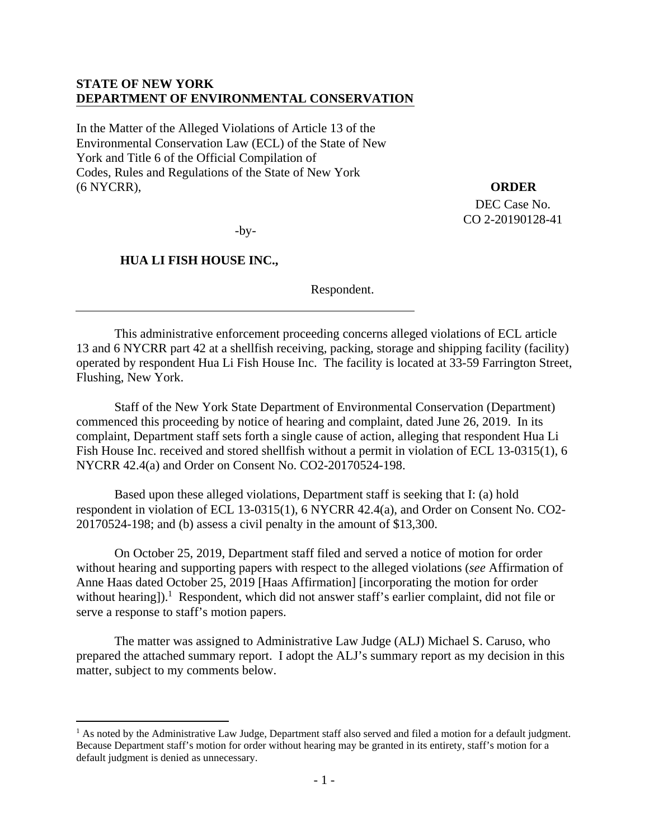# **STATE OF NEW YORK DEPARTMENT OF ENVIRONMENTAL CONSERVATION**

In the Matter of the Alleged Violations of Article 13 of the Environmental Conservation Law (ECL) of the State of New York and Title 6 of the Official Compilation of Codes, Rules and Regulations of the State of New York (6 NYCRR),

**ORDER** 

DEC Case No. CO 2-20190128-41

-by-

# **HUA LI FISH HOUSE INC.,**

1

Respondent.

This administrative enforcement proceeding concerns alleged violations of ECL article 13 and 6 NYCRR part 42 at a shellfish receiving, packing, storage and shipping facility (facility) operated by respondent Hua Li Fish House Inc. The facility is located at 33-59 Farrington Street, Flushing, New York.

Staff of the New York State Department of Environmental Conservation (Department) commenced this proceeding by notice of hearing and complaint, dated June 26, 2019. In its complaint, Department staff sets forth a single cause of action, alleging that respondent Hua Li Fish House Inc. received and stored shellfish without a permit in violation of ECL 13-0315(1), 6 NYCRR 42.4(a) and Order on Consent No. CO2-20170524-198.

Based upon these alleged violations, Department staff is seeking that I: (a) hold respondent in violation of ECL 13-0315(1), 6 NYCRR 42.4(a), and Order on Consent No. CO2- 20170524-198; and (b) assess a civil penalty in the amount of \$13,300.

On October 25, 2019, Department staff filed and served a notice of motion for order without hearing and supporting papers with respect to the alleged violations (*see* Affirmation of Anne Haas dated October 25, 2019 [Haas Affirmation] [incorporating the motion for order without hearing]).<sup>1</sup> Respondent, which did not answer staff's earlier complaint, did not file or serve a response to staff's motion papers.

The matter was assigned to Administrative Law Judge (ALJ) Michael S. Caruso, who prepared the attached summary report. I adopt the ALJ's summary report as my decision in this matter, subject to my comments below.

<sup>&</sup>lt;sup>1</sup> As noted by the Administrative Law Judge, Department staff also served and filed a motion for a default judgment. Because Department staff's motion for order without hearing may be granted in its entirety, staff's motion for a default judgment is denied as unnecessary.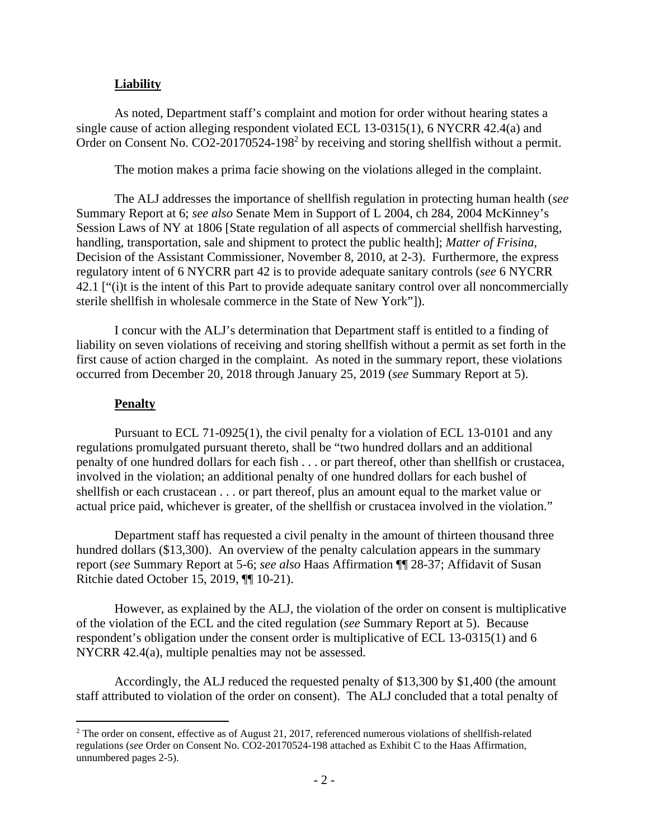## **Liability**

As noted, Department staff's complaint and motion for order without hearing states a single cause of action alleging respondent violated ECL 13-0315(1), 6 NYCRR 42.4(a) and Order on Consent No. CO2-20170524-198<sup>2</sup> by receiving and storing shellfish without a permit.

The motion makes a prima facie showing on the violations alleged in the complaint.

The ALJ addresses the importance of shellfish regulation in protecting human health (*see* Summary Report at 6; *see also* Senate Mem in Support of L 2004, ch 284, 2004 McKinney's Session Laws of NY at 1806 [State regulation of all aspects of commercial shellfish harvesting, handling, transportation, sale and shipment to protect the public health]; *Matter of Frisina*, Decision of the Assistant Commissioner, November 8, 2010, at 2-3). Furthermore, the express regulatory intent of 6 NYCRR part 42 is to provide adequate sanitary controls (*see* 6 NYCRR 42.1 ["(i)t is the intent of this Part to provide adequate sanitary control over all noncommercially sterile shellfish in wholesale commerce in the State of New York"]).

I concur with the ALJ's determination that Department staff is entitled to a finding of liability on seven violations of receiving and storing shellfish without a permit as set forth in the first cause of action charged in the complaint. As noted in the summary report, these violations occurred from December 20, 2018 through January 25, 2019 (*see* Summary Report at 5).

#### **Penalty**

 $\overline{a}$ 

Pursuant to ECL 71-0925(1), the civil penalty for a violation of ECL 13-0101 and any regulations promulgated pursuant thereto, shall be "two hundred dollars and an additional penalty of one hundred dollars for each fish . . . or part thereof, other than shellfish or crustacea, involved in the violation; an additional penalty of one hundred dollars for each bushel of shellfish or each crustacean . . . or part thereof, plus an amount equal to the market value or actual price paid, whichever is greater, of the shellfish or crustacea involved in the violation."

Department staff has requested a civil penalty in the amount of thirteen thousand three hundred dollars (\$13,300). An overview of the penalty calculation appears in the summary report (*see* Summary Report at 5-6; *see also* Haas Affirmation ¶¶ 28-37; Affidavit of Susan Ritchie dated October 15, 2019, ¶¶ 10-21).

However, as explained by the ALJ, the violation of the order on consent is multiplicative of the violation of the ECL and the cited regulation (*see* Summary Report at 5). Because respondent's obligation under the consent order is multiplicative of ECL 13-0315(1) and 6 NYCRR 42.4(a), multiple penalties may not be assessed.

Accordingly, the ALJ reduced the requested penalty of \$13,300 by \$1,400 (the amount staff attributed to violation of the order on consent). The ALJ concluded that a total penalty of

 $2$  The order on consent, effective as of August 21, 2017, referenced numerous violations of shellfish-related regulations (*see* Order on Consent No. CO2-20170524-198 attached as Exhibit C to the Haas Affirmation, unnumbered pages 2-5).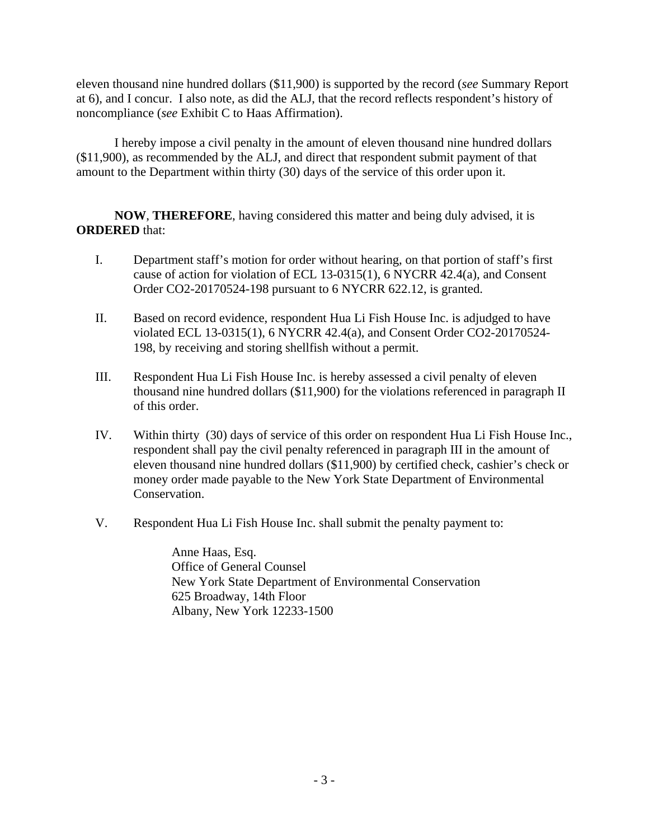eleven thousand nine hundred dollars (\$11,900) is supported by the record (*see* Summary Report at 6), and I concur. I also note, as did the ALJ, that the record reflects respondent's history of noncompliance (*see* Exhibit C to Haas Affirmation).

I hereby impose a civil penalty in the amount of eleven thousand nine hundred dollars (\$11,900), as recommended by the ALJ, and direct that respondent submit payment of that amount to the Department within thirty (30) days of the service of this order upon it.

**NOW**, **THEREFORE**, having considered this matter and being duly advised, it is **ORDERED** that:

- I. Department staff's motion for order without hearing, on that portion of staff's first cause of action for violation of ECL 13-0315(1), 6 NYCRR 42.4(a), and Consent Order CO2-20170524-198 pursuant to 6 NYCRR 622.12, is granted.
- II. Based on record evidence, respondent Hua Li Fish House Inc. is adjudged to have violated ECL 13-0315(1), 6 NYCRR 42.4(a), and Consent Order CO2-20170524- 198, by receiving and storing shellfish without a permit.
- III. Respondent Hua Li Fish House Inc. is hereby assessed a civil penalty of eleven thousand nine hundred dollars (\$11,900) for the violations referenced in paragraph II of this order.
- IV. Within thirty (30) days of service of this order on respondent Hua Li Fish House Inc., respondent shall pay the civil penalty referenced in paragraph III in the amount of eleven thousand nine hundred dollars (\$11,900) by certified check, cashier's check or money order made payable to the New York State Department of Environmental Conservation.
- V. Respondent Hua Li Fish House Inc. shall submit the penalty payment to:

 Anne Haas, Esq. Office of General Counsel New York State Department of Environmental Conservation 625 Broadway, 14th Floor Albany, New York 12233-1500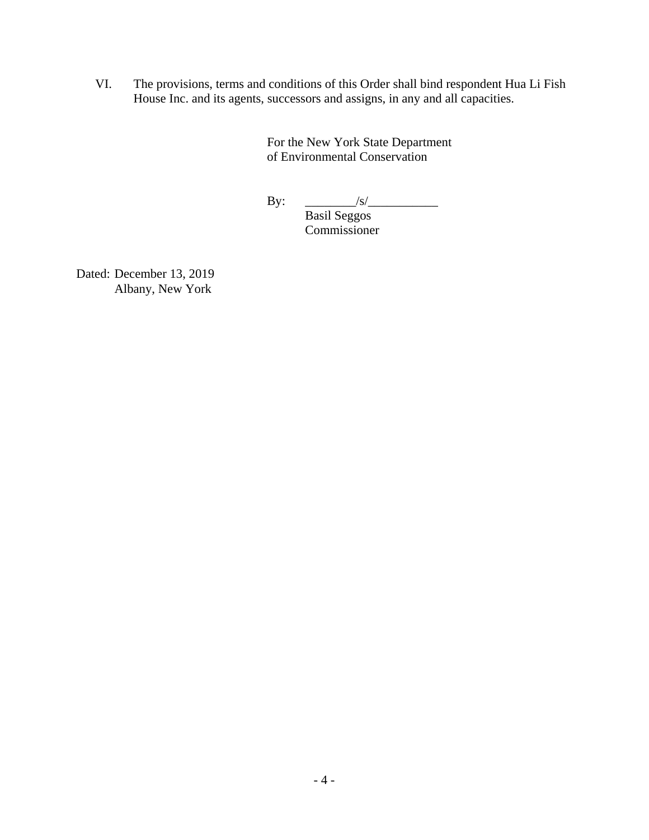VI. The provisions, terms and conditions of this Order shall bind respondent Hua Li Fish House Inc. and its agents, successors and assigns, in any and all capacities.

> For the New York State Department of Environmental Conservation

By: \_\_\_\_\_\_\_\_/s/\_\_\_\_\_\_\_\_\_\_\_

 Basil Seggos Commissioner

Dated: December 13, 2019 Albany, New York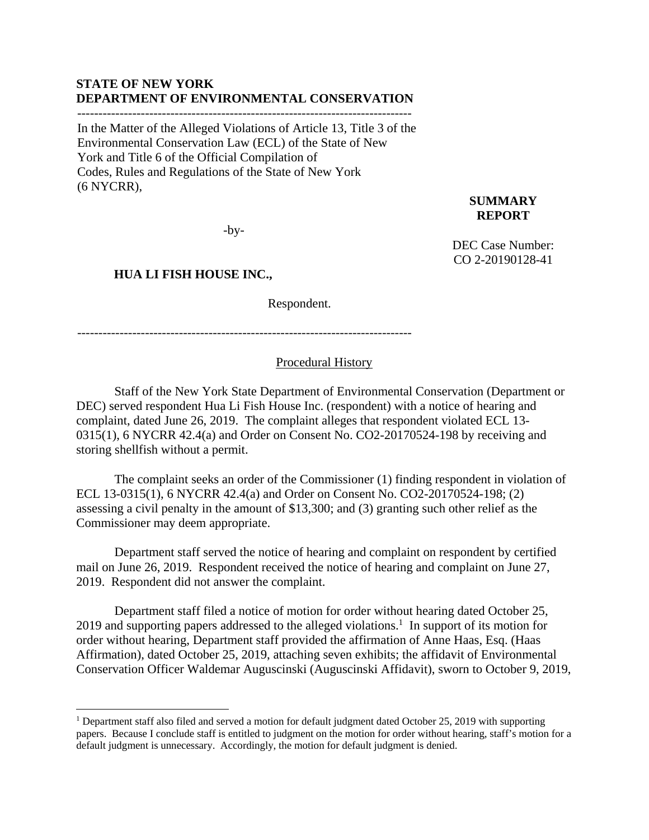### **STATE OF NEW YORK DEPARTMENT OF ENVIRONMENTAL CONSERVATION**

In the Matter of the Alleged Violations of Article 13, Title 3 of the Environmental Conservation Law (ECL) of the State of New York and Title 6 of the Official Compilation of Codes, Rules and Regulations of the State of New York (6 NYCRR),

 $-by-$ 

# **HUA LI FISH HOUSE INC.,**

 $\overline{a}$ 

Respondent.

-------------------------------------------------------------------------------

## Procedural History

Staff of the New York State Department of Environmental Conservation (Department or DEC) served respondent Hua Li Fish House Inc. (respondent) with a notice of hearing and complaint, dated June 26, 2019. The complaint alleges that respondent violated ECL 13- 0315(1), 6 NYCRR 42.4(a) and Order on Consent No. CO2-20170524-198 by receiving and storing shellfish without a permit.

The complaint seeks an order of the Commissioner (1) finding respondent in violation of ECL 13-0315(1), 6 NYCRR 42.4(a) and Order on Consent No. CO2-20170524-198; (2) assessing a civil penalty in the amount of \$13,300; and (3) granting such other relief as the Commissioner may deem appropriate.

Department staff served the notice of hearing and complaint on respondent by certified mail on June 26, 2019. Respondent received the notice of hearing and complaint on June 27, 2019. Respondent did not answer the complaint.

Department staff filed a notice of motion for order without hearing dated October 25, 2019 and supporting papers addressed to the alleged violations.<sup>1</sup> In support of its motion for order without hearing, Department staff provided the affirmation of Anne Haas, Esq. (Haas Affirmation), dated October 25, 2019, attaching seven exhibits; the affidavit of Environmental Conservation Officer Waldemar Auguscinski (Auguscinski Affidavit), sworn to October 9, 2019,

### **SUMMARY REPORT**

DEC Case Number: CO 2-20190128-41

<sup>&</sup>lt;sup>1</sup> Department staff also filed and served a motion for default judgment dated October 25, 2019 with supporting papers. Because I conclude staff is entitled to judgment on the motion for order without hearing, staff's motion for a default judgment is unnecessary. Accordingly, the motion for default judgment is denied.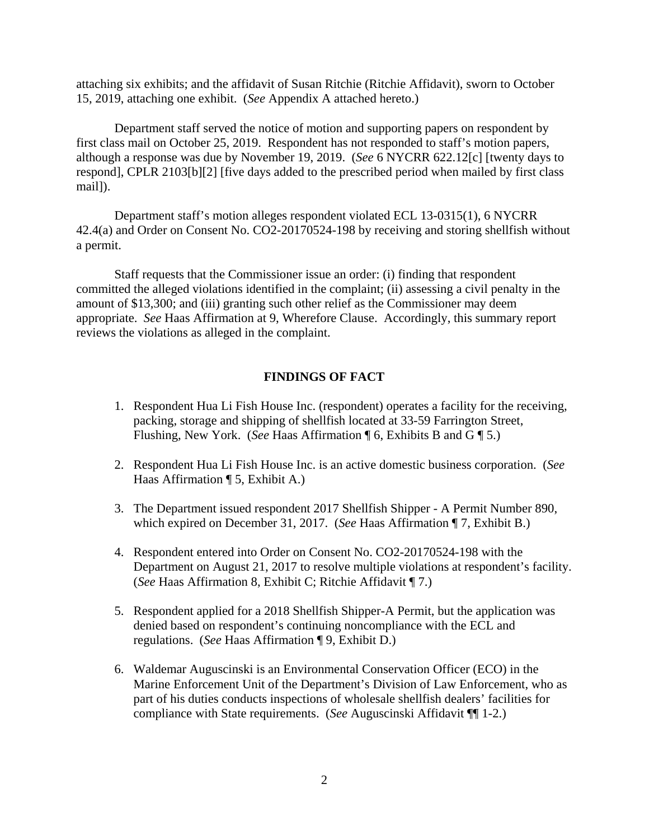attaching six exhibits; and the affidavit of Susan Ritchie (Ritchie Affidavit), sworn to October 15, 2019, attaching one exhibit. (*See* Appendix A attached hereto.)

Department staff served the notice of motion and supporting papers on respondent by first class mail on October 25, 2019. Respondent has not responded to staff's motion papers, although a response was due by November 19, 2019. (*See* 6 NYCRR 622.12[c] [twenty days to respond], CPLR 2103[b][2] [five days added to the prescribed period when mailed by first class mail]).

Department staff's motion alleges respondent violated ECL 13-0315(1), 6 NYCRR 42.4(a) and Order on Consent No. CO2-20170524-198 by receiving and storing shellfish without a permit.

 Staff requests that the Commissioner issue an order: (i) finding that respondent committed the alleged violations identified in the complaint; (ii) assessing a civil penalty in the amount of \$13,300; and (iii) granting such other relief as the Commissioner may deem appropriate. *See* Haas Affirmation at 9, Wherefore Clause. Accordingly, this summary report reviews the violations as alleged in the complaint.

#### **FINDINGS OF FACT**

- 1. Respondent Hua Li Fish House Inc. (respondent) operates a facility for the receiving, packing, storage and shipping of shellfish located at 33-59 Farrington Street, Flushing, New York. (*See* Haas Affirmation ¶ 6, Exhibits B and G ¶ 5.)
- 2. Respondent Hua Li Fish House Inc. is an active domestic business corporation. (*See* Haas Affirmation ¶ 5, Exhibit A.)
- 3. The Department issued respondent 2017 Shellfish Shipper A Permit Number 890, which expired on December 31, 2017. (*See* Haas Affirmation ¶ 7, Exhibit B.)
- 4. Respondent entered into Order on Consent No. CO2-20170524-198 with the Department on August 21, 2017 to resolve multiple violations at respondent's facility. (*See* Haas Affirmation 8, Exhibit C; Ritchie Affidavit ¶ 7.)
- 5. Respondent applied for a 2018 Shellfish Shipper-A Permit, but the application was denied based on respondent's continuing noncompliance with the ECL and regulations. (*See* Haas Affirmation ¶ 9, Exhibit D.)
- 6. Waldemar Auguscinski is an Environmental Conservation Officer (ECO) in the Marine Enforcement Unit of the Department's Division of Law Enforcement, who as part of his duties conducts inspections of wholesale shellfish dealers' facilities for compliance with State requirements. (*See* Auguscinski Affidavit ¶¶ 1-2.)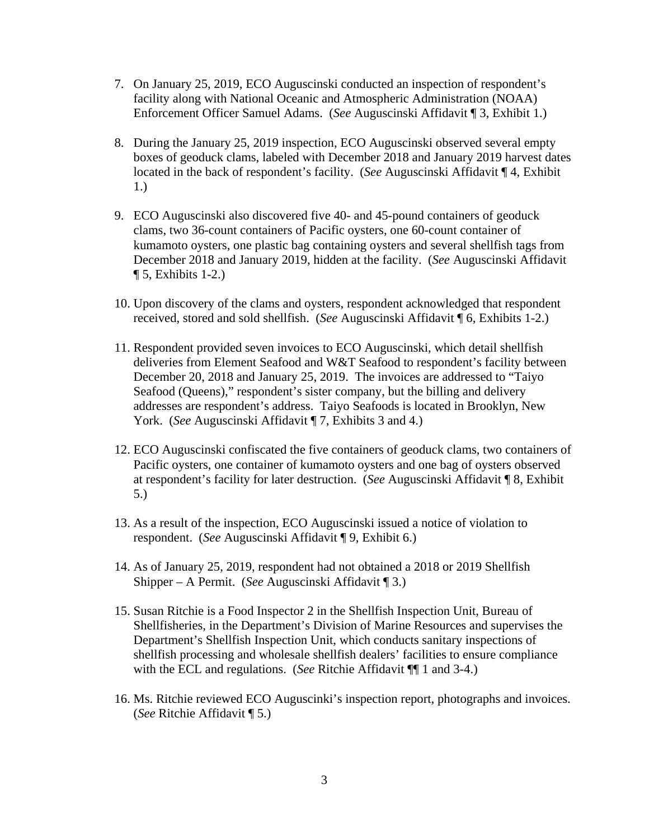- 7. On January 25, 2019, ECO Auguscinski conducted an inspection of respondent's facility along with National Oceanic and Atmospheric Administration (NOAA) Enforcement Officer Samuel Adams. (*See* Auguscinski Affidavit ¶ 3, Exhibit 1.)
- 8. During the January 25, 2019 inspection, ECO Auguscinski observed several empty boxes of geoduck clams, labeled with December 2018 and January 2019 harvest dates located in the back of respondent's facility. (*See* Auguscinski Affidavit ¶ 4, Exhibit 1.)
- 9. ECO Auguscinski also discovered five 40- and 45-pound containers of geoduck clams, two 36-count containers of Pacific oysters, one 60-count container of kumamoto oysters, one plastic bag containing oysters and several shellfish tags from December 2018 and January 2019, hidden at the facility. (*See* Auguscinski Affidavit  $\P$  5, Exhibits 1-2.)
- 10. Upon discovery of the clams and oysters, respondent acknowledged that respondent received, stored and sold shellfish. (*See* Auguscinski Affidavit ¶ 6, Exhibits 1-2.)
- 11. Respondent provided seven invoices to ECO Auguscinski, which detail shellfish deliveries from Element Seafood and W&T Seafood to respondent's facility between December 20, 2018 and January 25, 2019. The invoices are addressed to "Taiyo Seafood (Queens)," respondent's sister company, but the billing and delivery addresses are respondent's address. Taiyo Seafoods is located in Brooklyn, New York. (*See* Auguscinski Affidavit ¶ 7, Exhibits 3 and 4.)
- 12. ECO Auguscinski confiscated the five containers of geoduck clams, two containers of Pacific oysters, one container of kumamoto oysters and one bag of oysters observed at respondent's facility for later destruction. (*See* Auguscinski Affidavit ¶ 8, Exhibit 5.)
- 13. As a result of the inspection, ECO Auguscinski issued a notice of violation to respondent. (*See* Auguscinski Affidavit ¶ 9, Exhibit 6.)
- 14. As of January 25, 2019, respondent had not obtained a 2018 or 2019 Shellfish Shipper – A Permit. (*See* Auguscinski Affidavit ¶ 3.)
- 15. Susan Ritchie is a Food Inspector 2 in the Shellfish Inspection Unit, Bureau of Shellfisheries, in the Department's Division of Marine Resources and supervises the Department's Shellfish Inspection Unit, which conducts sanitary inspections of shellfish processing and wholesale shellfish dealers' facilities to ensure compliance with the ECL and regulations. (*See* Ritchie Affidavit ¶¶ 1 and 3-4.)
- 16. Ms. Ritchie reviewed ECO Auguscinki's inspection report, photographs and invoices. (*See* Ritchie Affidavit ¶ 5.)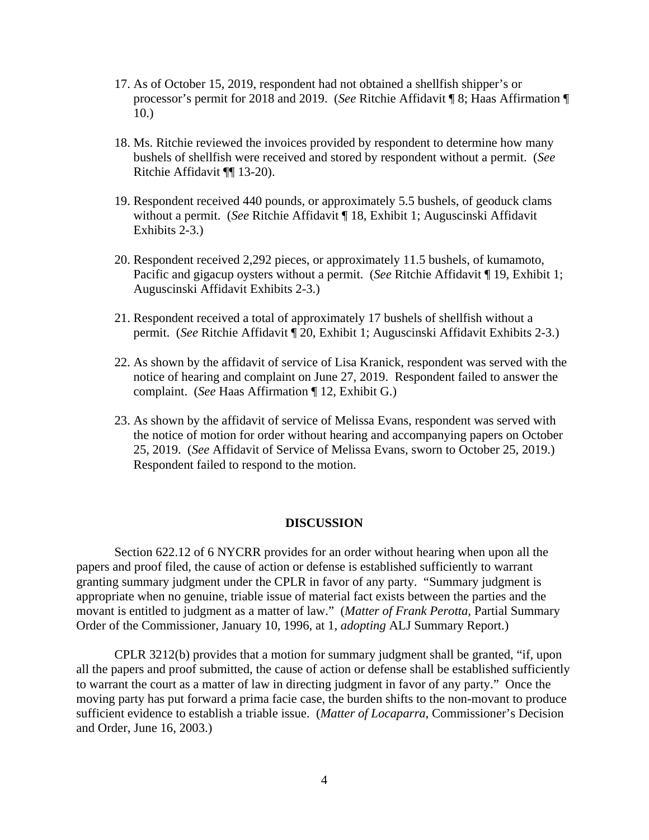- 17. As of October 15, 2019, respondent had not obtained a shellfish shipper's or processor's permit for 2018 and 2019. (*See* Ritchie Affidavit ¶ 8; Haas Affirmation ¶ 10.)
- 18. Ms. Ritchie reviewed the invoices provided by respondent to determine how many bushels of shellfish were received and stored by respondent without a permit. (*See* Ritchie Affidavit ¶¶ 13-20).
- 19. Respondent received 440 pounds, or approximately 5.5 bushels, of geoduck clams without a permit. (*See* Ritchie Affidavit ¶ 18, Exhibit 1; Auguscinski Affidavit Exhibits 2-3.)
- 20. Respondent received 2,292 pieces, or approximately 11.5 bushels, of kumamoto, Pacific and gigacup oysters without a permit. (*See* Ritchie Affidavit ¶ 19, Exhibit 1; Auguscinski Affidavit Exhibits 2-3.)
- 21. Respondent received a total of approximately 17 bushels of shellfish without a permit. (*See* Ritchie Affidavit ¶ 20, Exhibit 1; Auguscinski Affidavit Exhibits 2-3.)
- 22. As shown by the affidavit of service of Lisa Kranick, respondent was served with the notice of hearing and complaint on June 27, 2019. Respondent failed to answer the complaint. (*See* Haas Affirmation ¶ 12, Exhibit G.)
- 23. As shown by the affidavit of service of Melissa Evans, respondent was served with the notice of motion for order without hearing and accompanying papers on October 25, 2019. (*See* Affidavit of Service of Melissa Evans, sworn to October 25, 2019.) Respondent failed to respond to the motion.

#### **DISCUSSION**

Section 622.12 of 6 NYCRR provides for an order without hearing when upon all the papers and proof filed, the cause of action or defense is established sufficiently to warrant granting summary judgment under the CPLR in favor of any party. "Summary judgment is appropriate when no genuine, triable issue of material fact exists between the parties and the movant is entitled to judgment as a matter of law." (*Matter of Frank Perotta*, Partial Summary Order of the Commissioner, January 10, 1996, at 1, *adopting* ALJ Summary Report.)

CPLR 3212(b) provides that a motion for summary judgment shall be granted, "if, upon all the papers and proof submitted, the cause of action or defense shall be established sufficiently to warrant the court as a matter of law in directing judgment in favor of any party." Once the moving party has put forward a prima facie case, the burden shifts to the non-movant to produce sufficient evidence to establish a triable issue. (*Matter of Locaparra*, Commissioner's Decision and Order, June 16, 2003.)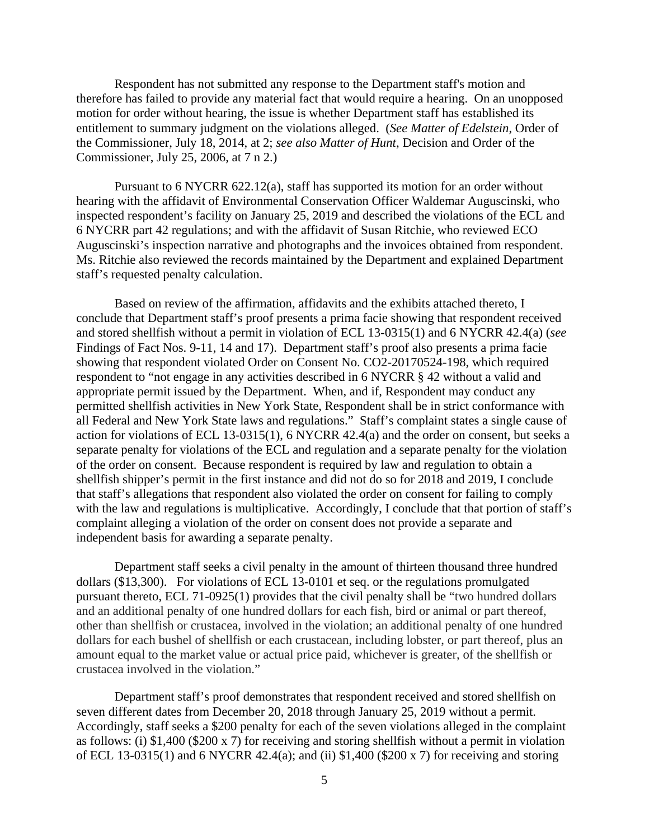Respondent has not submitted any response to the Department staff's motion and therefore has failed to provide any material fact that would require a hearing. On an unopposed motion for order without hearing, the issue is whether Department staff has established its entitlement to summary judgment on the violations alleged. (*See Matter of Edelstein*, Order of the Commissioner, July 18, 2014, at 2; *see also Matter of Hunt*, Decision and Order of the Commissioner, July 25, 2006, at 7 n 2.)

Pursuant to 6 NYCRR 622.12(a), staff has supported its motion for an order without hearing with the affidavit of Environmental Conservation Officer Waldemar Auguscinski, who inspected respondent's facility on January 25, 2019 and described the violations of the ECL and 6 NYCRR part 42 regulations; and with the affidavit of Susan Ritchie, who reviewed ECO Auguscinski's inspection narrative and photographs and the invoices obtained from respondent. Ms. Ritchie also reviewed the records maintained by the Department and explained Department staff's requested penalty calculation.

Based on review of the affirmation, affidavits and the exhibits attached thereto, I conclude that Department staff's proof presents a prima facie showing that respondent received and stored shellfish without a permit in violation of ECL 13-0315(1) and 6 NYCRR 42.4(a) (*see* Findings of Fact Nos. 9-11, 14 and 17). Department staff's proof also presents a prima facie showing that respondent violated Order on Consent No. CO2-20170524-198, which required respondent to "not engage in any activities described in 6 NYCRR § 42 without a valid and appropriate permit issued by the Department. When, and if, Respondent may conduct any permitted shellfish activities in New York State, Respondent shall be in strict conformance with all Federal and New York State laws and regulations." Staff's complaint states a single cause of action for violations of ECL 13-0315(1), 6 NYCRR 42.4(a) and the order on consent, but seeks a separate penalty for violations of the ECL and regulation and a separate penalty for the violation of the order on consent. Because respondent is required by law and regulation to obtain a shellfish shipper's permit in the first instance and did not do so for 2018 and 2019, I conclude that staff's allegations that respondent also violated the order on consent for failing to comply with the law and regulations is multiplicative. Accordingly, I conclude that that portion of staff's complaint alleging a violation of the order on consent does not provide a separate and independent basis for awarding a separate penalty.

Department staff seeks a civil penalty in the amount of thirteen thousand three hundred dollars (\$13,300). For violations of ECL 13-0101 et seq. or the regulations promulgated pursuant thereto, ECL 71-0925(1) provides that the civil penalty shall be "two hundred dollars and an additional penalty of one hundred dollars for each fish, bird or animal or part thereof, other than shellfish or crustacea, involved in the violation; an additional penalty of one hundred dollars for each bushel of shellfish or each crustacean, including lobster, or part thereof, plus an amount equal to the market value or actual price paid, whichever is greater, of the shellfish or crustacea involved in the violation."

Department staff's proof demonstrates that respondent received and stored shellfish on seven different dates from December 20, 2018 through January 25, 2019 without a permit. Accordingly, staff seeks a \$200 penalty for each of the seven violations alleged in the complaint as follows: (i) \$1,400 (\$200 x 7) for receiving and storing shellfish without a permit in violation of ECL 13-0315(1) and 6 NYCRR 42.4(a); and (ii) \$1,400 (\$200 x 7) for receiving and storing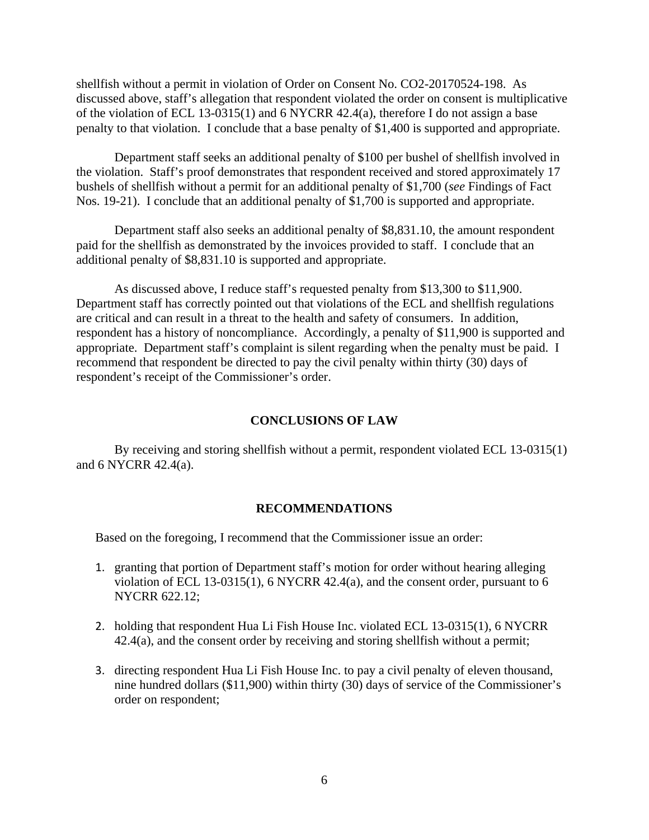shellfish without a permit in violation of Order on Consent No. CO2-20170524-198. As discussed above, staff's allegation that respondent violated the order on consent is multiplicative of the violation of ECL 13-0315(1) and 6 NYCRR 42.4(a), therefore I do not assign a base penalty to that violation. I conclude that a base penalty of \$1,400 is supported and appropriate.

Department staff seeks an additional penalty of \$100 per bushel of shellfish involved in the violation. Staff's proof demonstrates that respondent received and stored approximately 17 bushels of shellfish without a permit for an additional penalty of \$1,700 (*see* Findings of Fact Nos. 19-21). I conclude that an additional penalty of \$1,700 is supported and appropriate.

Department staff also seeks an additional penalty of \$8,831.10, the amount respondent paid for the shellfish as demonstrated by the invoices provided to staff. I conclude that an additional penalty of \$8,831.10 is supported and appropriate.

As discussed above, I reduce staff's requested penalty from \$13,300 to \$11,900. Department staff has correctly pointed out that violations of the ECL and shellfish regulations are critical and can result in a threat to the health and safety of consumers. In addition, respondent has a history of noncompliance. Accordingly, a penalty of \$11,900 is supported and appropriate. Department staff's complaint is silent regarding when the penalty must be paid. I recommend that respondent be directed to pay the civil penalty within thirty (30) days of respondent's receipt of the Commissioner's order.

#### **CONCLUSIONS OF LAW**

By receiving and storing shellfish without a permit, respondent violated ECL 13-0315(1) and 6 NYCRR 42.4(a).

#### **RECOMMENDATIONS**

Based on the foregoing, I recommend that the Commissioner issue an order:

- 1. granting that portion of Department staff's motion for order without hearing alleging violation of ECL 13-0315(1), 6 NYCRR 42.4(a), and the consent order, pursuant to 6 NYCRR 622.12;
- 2. holding that respondent Hua Li Fish House Inc. violated ECL 13-0315(1), 6 NYCRR 42.4(a), and the consent order by receiving and storing shellfish without a permit;
- 3. directing respondent Hua Li Fish House Inc. to pay a civil penalty of eleven thousand, nine hundred dollars (\$11,900) within thirty (30) days of service of the Commissioner's order on respondent;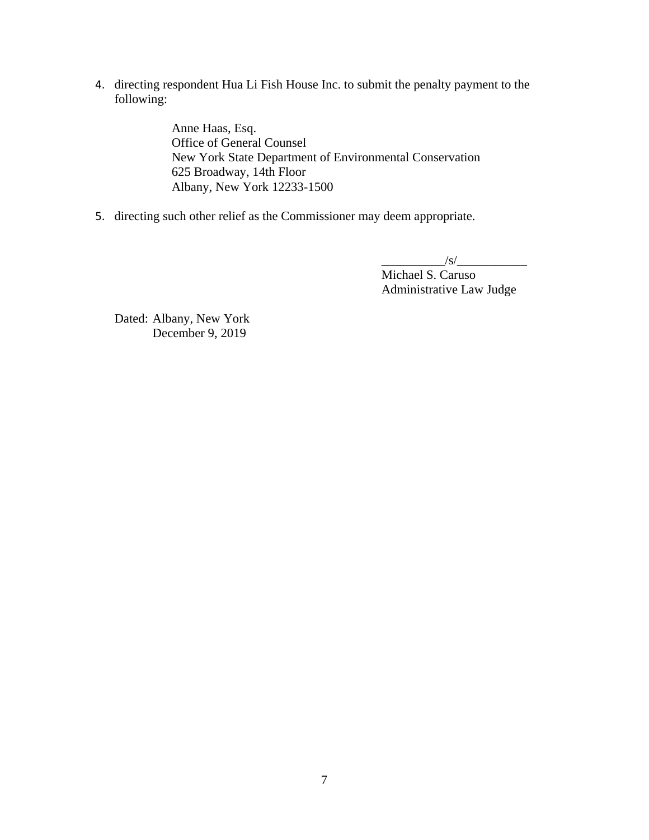4. directing respondent Hua Li Fish House Inc. to submit the penalty payment to the following:

> Anne Haas, Esq. Office of General Counsel New York State Department of Environmental Conservation 625 Broadway, 14th Floor Albany, New York 12233-1500

5. directing such other relief as the Commissioner may deem appropriate.

 $\frac{1}{s}$  /s/ $\frac{1}{s}$ Michael S. Caruso Administrative Law Judge

Dated: Albany, New York December 9, 2019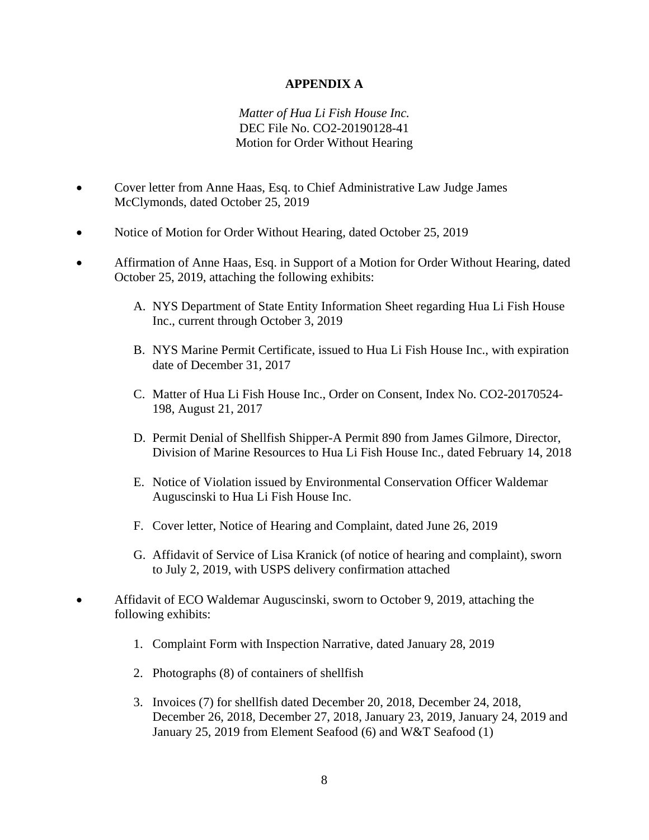# **APPENDIX A**

# *Matter of Hua Li Fish House Inc.* DEC File No. CO2-20190128-41 Motion for Order Without Hearing

- Cover letter from Anne Haas, Esq. to Chief Administrative Law Judge James McClymonds, dated October 25, 2019
- Notice of Motion for Order Without Hearing, dated October 25, 2019
- Affirmation of Anne Haas, Esq. in Support of a Motion for Order Without Hearing, dated October 25, 2019, attaching the following exhibits:
	- A. NYS Department of State Entity Information Sheet regarding Hua Li Fish House Inc., current through October 3, 2019
	- B. NYS Marine Permit Certificate, issued to Hua Li Fish House Inc., with expiration date of December 31, 2017
	- C. Matter of Hua Li Fish House Inc., Order on Consent, Index No. CO2-20170524- 198, August 21, 2017
	- D. Permit Denial of Shellfish Shipper-A Permit 890 from James Gilmore, Director, Division of Marine Resources to Hua Li Fish House Inc., dated February 14, 2018
	- E. Notice of Violation issued by Environmental Conservation Officer Waldemar Auguscinski to Hua Li Fish House Inc.
	- F. Cover letter, Notice of Hearing and Complaint, dated June 26, 2019
	- G. Affidavit of Service of Lisa Kranick (of notice of hearing and complaint), sworn to July 2, 2019, with USPS delivery confirmation attached
- Affidavit of ECO Waldemar Auguscinski, sworn to October 9, 2019, attaching the following exhibits:
	- 1. Complaint Form with Inspection Narrative, dated January 28, 2019
	- 2. Photographs (8) of containers of shellfish
	- 3. Invoices (7) for shellfish dated December 20, 2018, December 24, 2018, December 26, 2018, December 27, 2018, January 23, 2019, January 24, 2019 and January 25, 2019 from Element Seafood (6) and W&T Seafood (1)